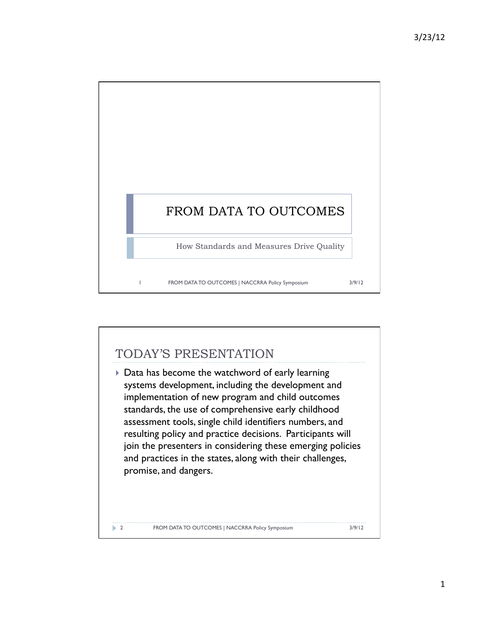

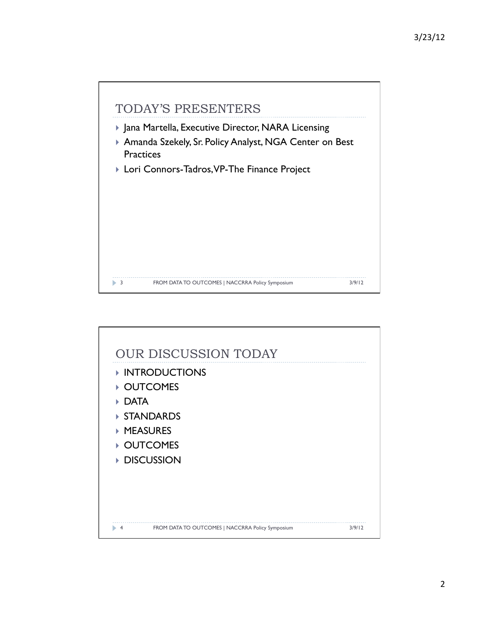

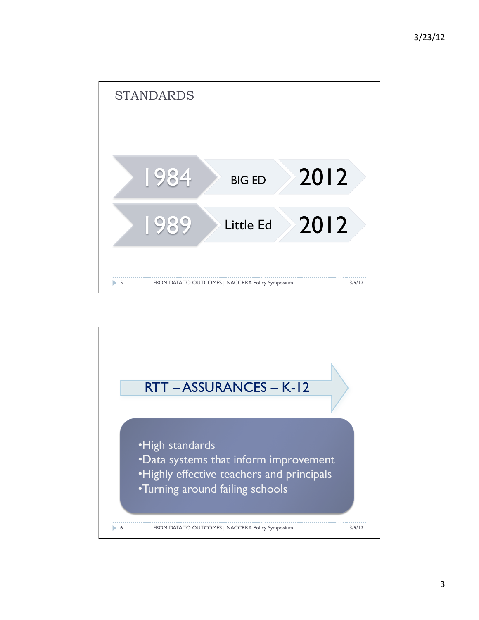

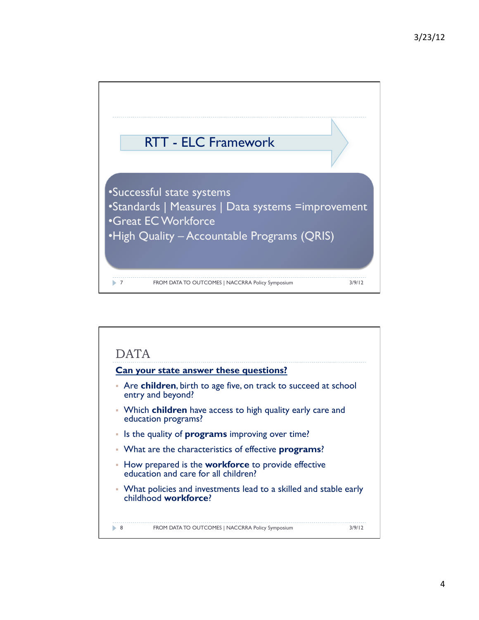

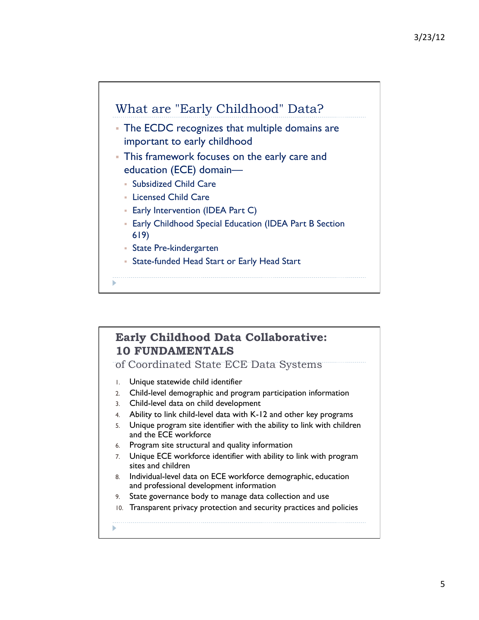

## **Early Childhood Data Collaborative: 10 FUNDAMENTALS**

of Coordinated State ECE Data Systems

- 1. Unique statewide child identifier
- 2. Child-level demographic and program participation information
- 3. Child-level data on child development
- 4. Ability to link child-level data with K-12 and other key programs
- 5. Unique program site identifier with the ability to link with children and the ECE workforce
- 6. Program site structural and quality information
- 7. Unique ECE workforce identifier with ability to link with program sites and children
- 8. Individual-level data on ECE workforce demographic, education and professional development information
- 9. State governance body to manage data collection and use
- 10. Transparent privacy protection and security practices and policies
-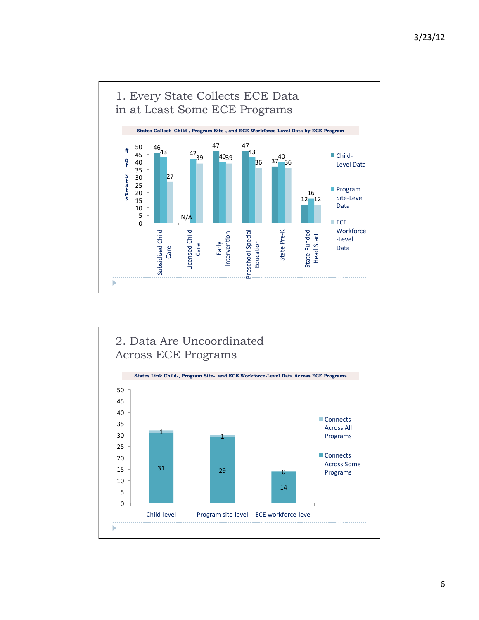

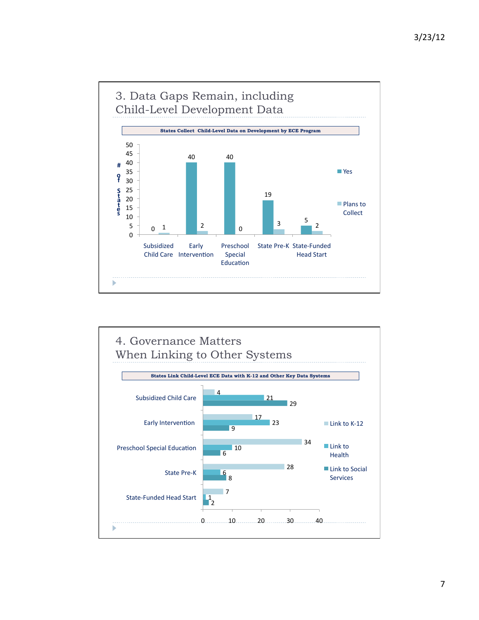

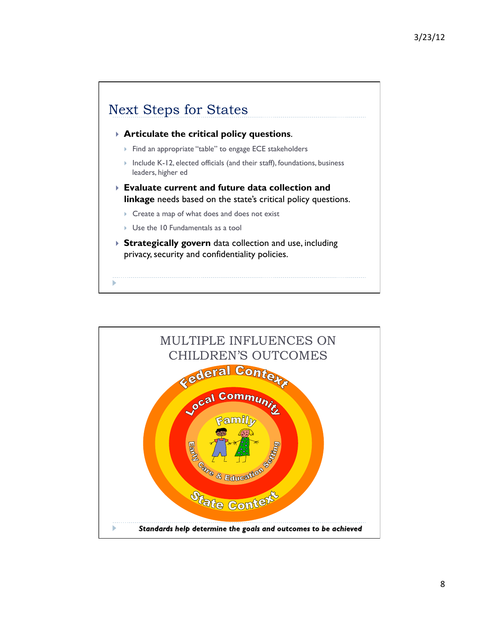

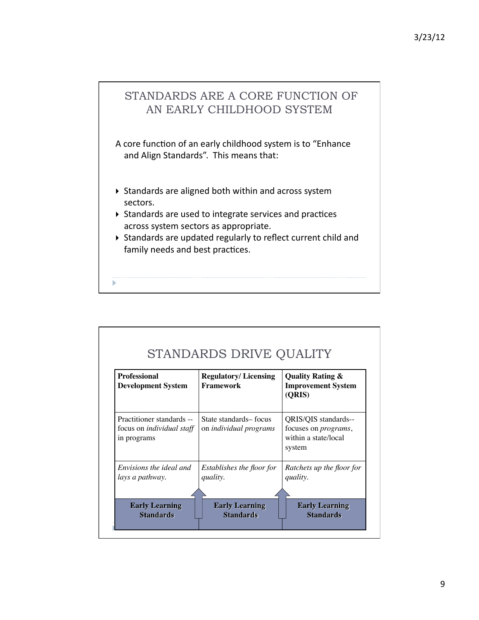# STANDARDS ARE A CORE FUNCTION OF AN EARLY CHILDHOOD SYSTEM

A core function of an early childhood system is to "Enhance and Align Standards". This means that:

- $\triangleright$  Standards are aligned both within and across system sectors.
- $\triangleright$  Standards are used to integrate services and practices across system sectors as appropriate.
- $\triangleright$  Standards are updated regularly to reflect current child and family needs and best practices.

| <b>Professional</b><br><b>Development System</b>                             | <b>Regulatory/Licensing</b><br><b>Framework</b>        | <b>Quality Rating &amp;</b><br><b>Improvement System</b><br>(ORIS)                     |
|------------------------------------------------------------------------------|--------------------------------------------------------|----------------------------------------------------------------------------------------|
| Practitioner standards --<br>focus on <i>individual</i> staff<br>in programs | State standards-focus<br>on <i>individual programs</i> | QRIS/QIS standards--<br>focuses on <i>programs</i> ,<br>within a state/local<br>system |
| Envisions the ideal and                                                      | Establishes the floor for                              | Ratchets up the floor for                                                              |
| lays a pathway.                                                              | quality.                                               | quality.                                                                               |
| <b>Early Learning</b>                                                        | <b>Early Learning</b>                                  | <b>Early Learning</b>                                                                  |
| <b>Standards</b>                                                             | <b>Standards</b>                                       | <b>Standards</b>                                                                       |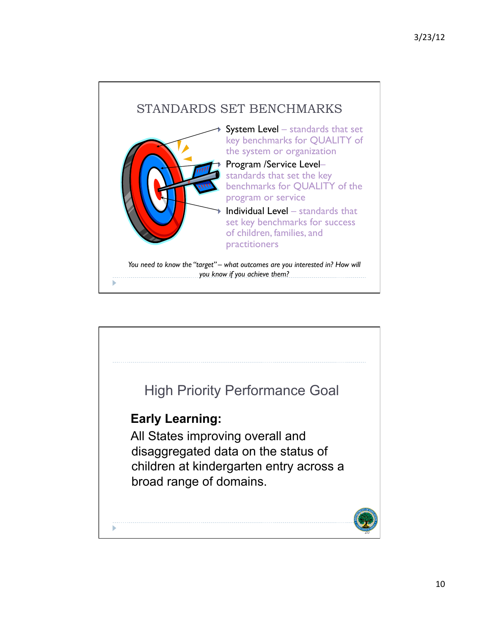

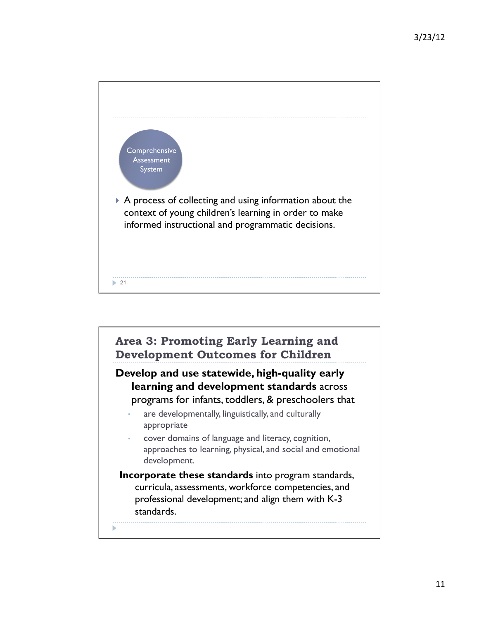

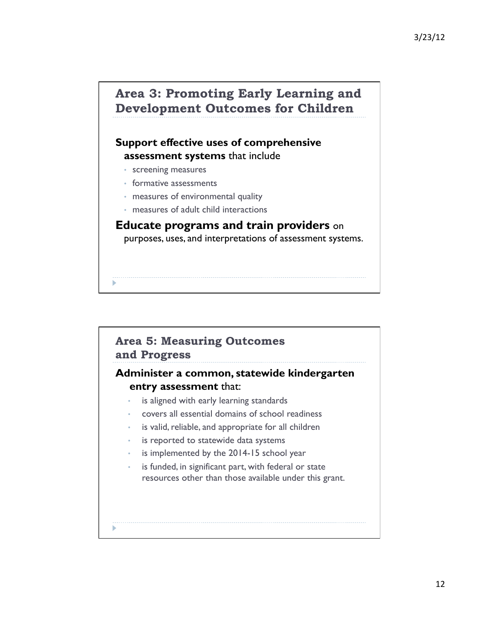## **Area 3: Promoting Early Learning and Development Outcomes for Children**

### **Support effective uses of comprehensive assessment systems** that include

- screening measures
- formative assessments
- measures of environmental quality
- measures of adult child interactions

**Educate programs and train providers** on purposes, uses, and interpretations of assessment systems.

## **Area 5: Measuring Outcomes and Progress Administer a common, statewide kindergarten entry assessment** that: is aligned with early learning standards • covers all essential domains of school readiness is valid, reliable, and appropriate for all children

- is reported to statewide data systems
- is implemented by the 2014-15 school year
- is funded, in significant part, with federal or state resources other than those available under this grant.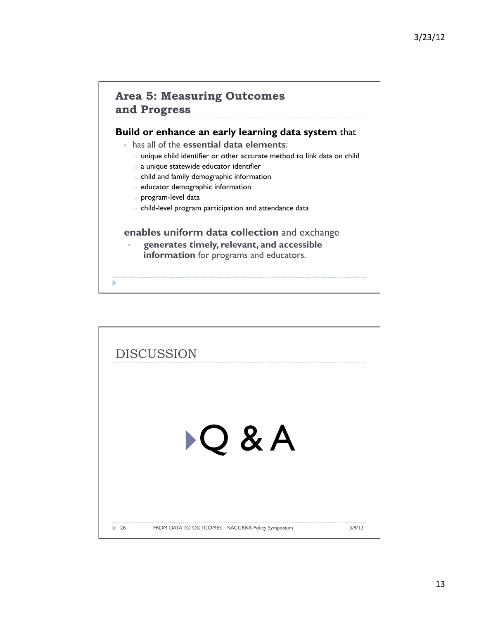### **Area 5: Measuring Outcomes and Progress**

#### **Build or enhance an early learning data system** that

- has all of the **essential data elements**:
	- o unique child identifier or other accurate method to link data on child
	- o a unique statewide educator identifier
	- o child and family demographic information
	- o educator demographic information
	- o program-level data
	- o child-level program participation and attendance data

#### **enables uniform data collection** and exchange

• **generates timely, relevant, and accessible information** for programs and educators.

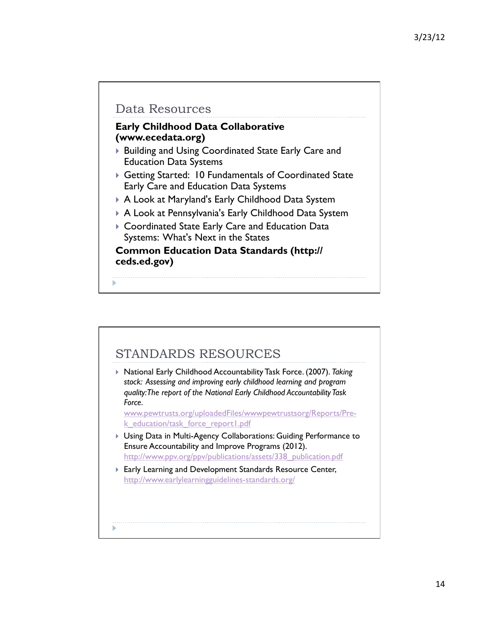## Data Resources

### **Early Childhood Data Collaborative (www.ecedata.org)**

- ▶ Building and Using Coordinated State Early Care and Education Data Systems
- Getting Started: 10 Fundamentals of Coordinated State Early Care and Education Data Systems
- A Look at Maryland's Early Childhood Data System
- A Look at Pennsylvania's Early Childhood Data System
- Coordinated State Early Care and Education Data Systems: What's Next in the States

#### **Common Education Data Standards (http:// ceds.ed.gov)**